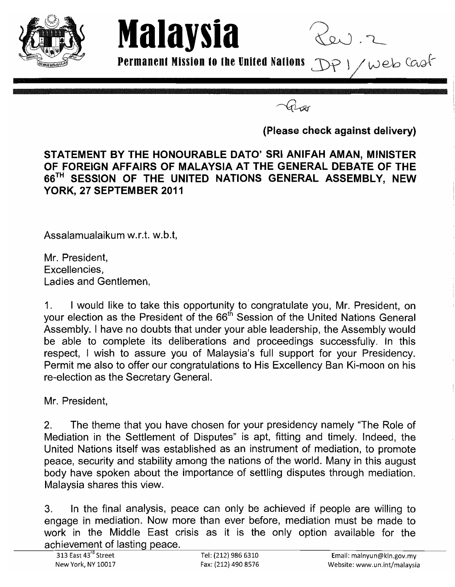

**Permanent Mission to the United Nations DP** 1 / Web Coof

**Malaysia** 

**(Please check against delivery)** 

## **STATEMENT BY THE HONOURABLE DATO' SRI ANIFAH AMAN, MINISTER OF FOREIGN AFFAIRS OF MALAYSIA AT THE GENERAL DEBATE OF THE**  66TH **SESSION OF THE UNITED NATIONS GENERAL ASSEMBLY, NEW YORK, 27 SEPTEMBER 2011**

Assalamualaikum w.r.t. w.b.t,

Mr. President, Excellencies, Ladies and Gentlemen,

1. I would like to take this opportunity to congratulate you, Mr. President, on your election as the President of the 66<sup>th</sup> Session of the United Nations General Assembly. I have no doubts that under your able leadership, the Assembly would be able to complete its deliberations and proceedings successfully. In this respect, I wish to assure you of Malaysia's full support for your Presidency. Permit me also to offer our congratulations to His Excellency Ban Ki-moon on his re-election as the Secretary General.

Mr. President,

2. The theme that you have chosen for your presidency namely "The Role of Mediation in the Settlement of Disputes" is apt, fitting and timely. Indeed, the United Nations itself was established as an instrument of mediation, to promote peace, security and stability among the nations of the world. Many in this august body have spoken about the importance of settling disputes through mediation. Malaysia shares this view.

3. In the final analysis, peace can only be achieved if people are willing to engage in mediation. Now more than ever before, mediation must be made to work in the Middle East crisis as it is the only option available for the achievement of lasting peace.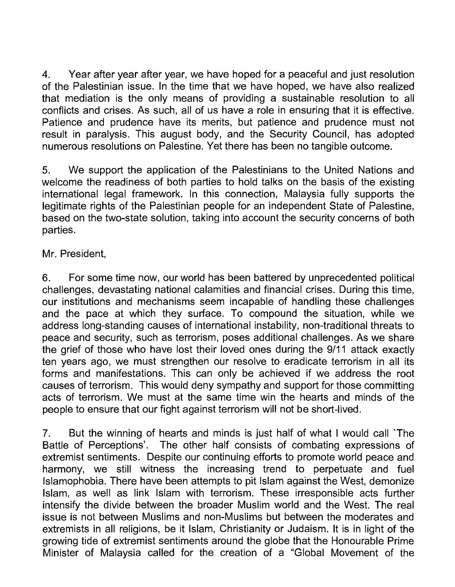4. Year after year after year, we have hoped for a peaceful and just resolution of the Palestinian issue. In the time that we have hoped, we have also realized that mediation is the only means of providing a sustainable resolution to all conflicts and crises. As such, all of us have a role in ensuring that it is effective. Patience and prudence have its merits, but patience and prudence must not result in paralysis. This august body, and the Security Council, has adopted numerous resolutions on Palestine. Yet there has been no tangible outcome.

5. We support the application of the Palestinians to the United Nations and welcome the readiness of both parties to hold talks on the basis of the existing international legal framework. In this connection, Malaysia fully supports the legitimate rights of the Palestinian people for an independent State of Palestine, based on the two-state solution, taking into account the security concerns of both parties.

Mr. President,

6. For some time now, our world has been battered by unprecedented political challenges, devastating national calamities and financial crises. During this time, our institutions and mechanisms seem incapable of handling these challenges and the pace at which they surface. To compound the situation, while we address long-standing causes of international instability, non-traditional threats to peace and security, such as terrorism, poses additional challenges. As we share the grief of those who have lost their loved ones during the 9/11 attack exactly ten years ago, we must strengthen our resolve to eradicate terrorism in all its forms and manifestations. This can only be achieved if we address the root causes of terrorism. This would deny sympathy and support for those committing acts of terrorism. We must at the same time win the hearts and minds of the people to ensure that our fight against terrorism will not be short-lived.

7. But the winning of hearts and minds is just half of what I would call 'The Battle of Perceptions'. The other half consists of combating expressions of extremist sentiments. Despite our continuing efforts to promote world peace and harmony, we still witness the increasing trend to perpetuate and fuel Islamophobia. There have been attempts to pit Islam against the West, demonize Islam, as well as link Islam with terrorism. These irresponsible acts further intensify the divide between the broader Muslim world and the West. The real issue is not between Muslims and non-Muslims but between the moderates and extremists in all religions, be it Islam, Christianity or Judaism. It is in light of the growing tide of extremist sentiments around the globe that the Honourable Prime Minister of Malaysia called for the creation of a "Global Movement of the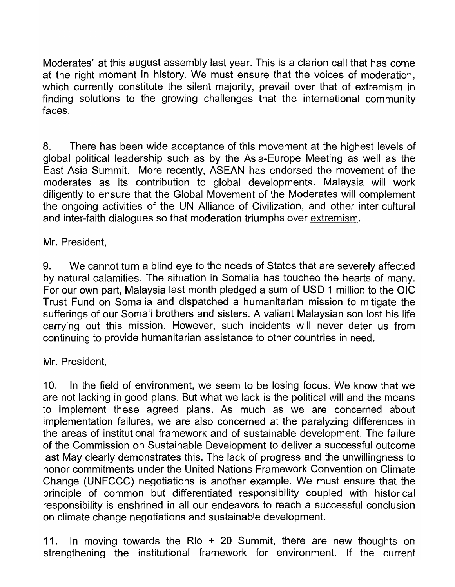Moderates" at this august assembly last year. This is a clarion call that has come at the right moment in history. We must ensure that the voices of moderation, which currently constitute the silent majority, prevail over that of extremism in finding solutions to the growing challenges that the international community faces.

8. There has been wide acceptance of this movement at the highest levels of global political leadership such as by the Asia-Europe Meeting as well as the East Asia Summit. More recently, ASEAN has endorsed the movement of the moderates as its contribution to global developments. Malaysia will work diligently to ensure that the Global Movement of the Moderates will complement the ongoing activities of the UN Alliance of Civilization, and other inter-cultural and inter-faith dialogues so that moderation triumphs over extremism.

Mr. President,

9. We cannot turn a blind eye to the needs of States that are severely affected by natural calamities. The situation in Somalia has touched the hearts of many. For our own part, Malaysia last month pledged a sum of USD 1 million to the OIC Trust Fund on Somalia and dispatched a humanitarian mission to mitigate the sufferings of our Somali brothers and sisters. A valiant Malaysian son lost his life carrying out this mission. However, such incidents will never deter us from continuing to provide humanitarian assistance to other countries in need.

Mr. President,

10. In the field of environment, we seem to be losing focus. We know that we are not lacking in good plans. But what we lack is the political will and the means to implement these agreed plans. As much as we are concerned about implementation failures, we are also concerned at the paralyzing differences in the areas of institutional framework and of sustainable development. The failure of the Commission on Sustainable Development to deliver a successful outcome last May clearly demonstrates this. The lack of progress and the unwillingness to honor commitments under the United Nations Framework Convention on Climate Change (UNFCCC) negotiations is another example. We must ensure that the principle of common but differentiated responsibility coupled with historical responsibility is enshrined in all our endeavors to reach a successful conclusion on climate change negotiations and sustainable development.

11. In moving towards the Rio + 20 Summit, there are new thoughts on strengthening the institutional framework for environment. If the current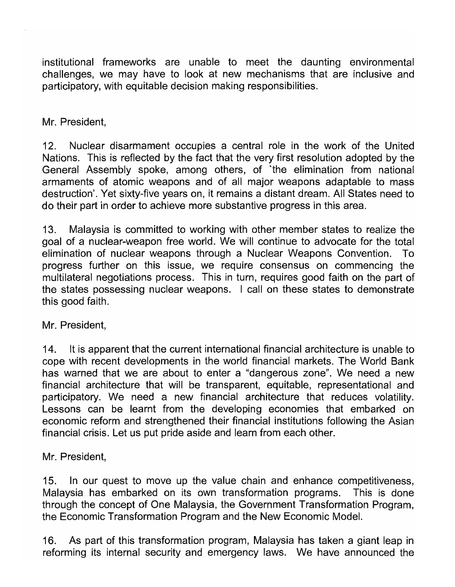institutional frameworks are unable to meet the daunting environmental challenges, we may have to look at new mechanisms that are inclusive and participatory, with equitable decision making responsibilities.

Mr. President,

12. Nuclear disarmament occupies a central role in the work of the United Nations. This is reflected by the fact that the very first resolution adopted by the General Assembly spoke, among others, of 'the elimination from national armaments of atomic weapons and of all major weapons adaptable to mass destruction'. Yet sixty-five years on, it remains a distant dream. All States need to do their part in order to achieve more substantive progress in this area.

13. Malaysia is committed to working with other member states to realize the goal of a nuclear-weapon free world. We will continue to advocate for the total elimination of nuclear weapons through a Nuclear Weapons Convention. To progress further on this issue, we require consensus on commencing the multilateral negotiations process. This in turn, requires good faith on the part of the states possessing nuclear weapons. I call on these states to demonstrate this good faith.

Mr. President,

14. It is apparent that the current international financial architecture is unable to cope with recent developments in the world financial markets. The World Bank has warned that we are about to enter a "dangerous zone". We need a new financial architecture that will be transparent, equitable, representational and participatory. We need a new financial architecture that reduces volatility. Lessons can be learnt from the developing economies that embarked on economic reform and strengthened their financial institutions following the Asian financial crisis. Let us put pride aside and learn from each other.

Mr. President,

15. In our quest to move up the value chain and enhance competitiveness, Malaysia has embarked on its own transformation programs. This is done through the concept of One Malaysia, the Government Transformation Program, the Economic Transformation Program and the New Economic Model.

16. As part of this transformation program, Malaysia has taken a giant leap in reforming its internal security and emergency laws. We have announced the